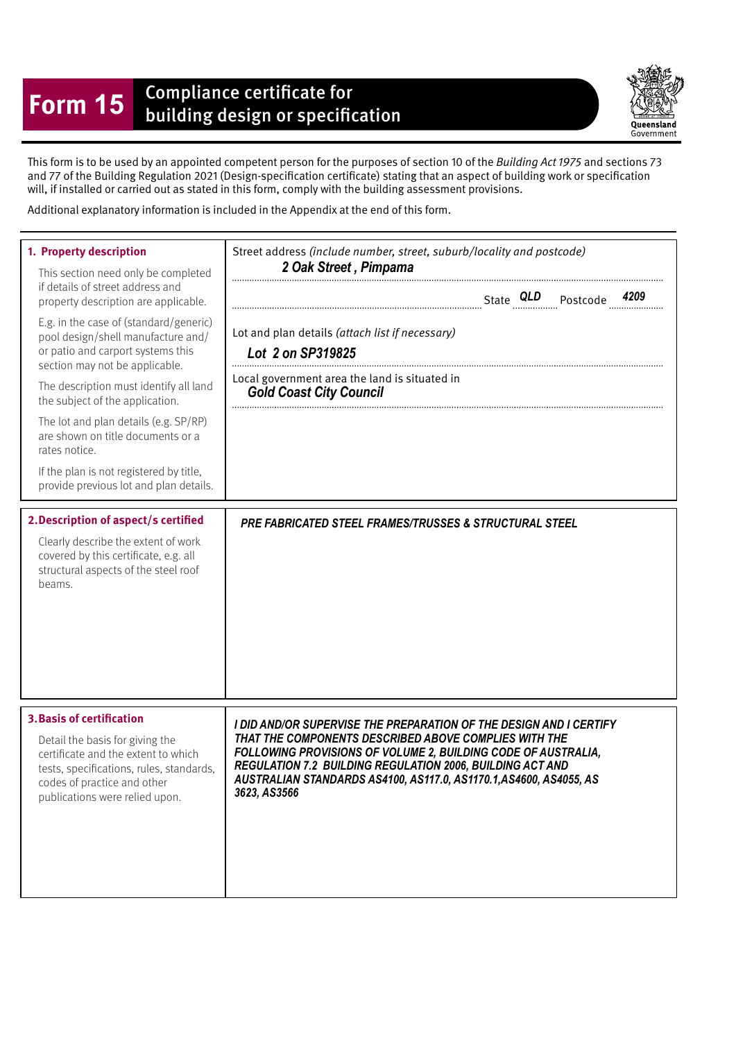## **Form 15** Compliance certificate for<br>building design or specification

Queensland Government

This form is to be used by an appointed competent person for the purposes of section 10 of the Building Act 1975 and sections 73 and 77 of the Building Regulation 2021 (Design-specifcation certifcate) stating that an aspect of building work or specifcation will, if installed or carried out as stated in this form, comply with the building assessment provisions.

Additional explanatory information is included in the Appendix at the end of this form.

| 1. Property description<br>This section need only be completed<br>if details of street address and<br>property description are applicable.<br>E.g. in the case of (standard/generic)<br>pool design/shell manufacture and/<br>or patio and carport systems this<br>section may not be applicable.<br>The description must identify all land<br>the subject of the application.<br>The lot and plan details (e.g. SP/RP)<br>are shown on title documents or a<br>rates notice.<br>If the plan is not registered by title,<br>provide previous lot and plan details. | Street address (include number, street, suburb/locality and postcode)<br>2 Oak Street, Pimpama<br>Lot and plan details (attach list if necessary)<br>Lot 2 on SP319825<br>Local government area the land is situated in<br><b>Gold Coast City Council</b>                                                                                       |
|--------------------------------------------------------------------------------------------------------------------------------------------------------------------------------------------------------------------------------------------------------------------------------------------------------------------------------------------------------------------------------------------------------------------------------------------------------------------------------------------------------------------------------------------------------------------|-------------------------------------------------------------------------------------------------------------------------------------------------------------------------------------------------------------------------------------------------------------------------------------------------------------------------------------------------|
| 2. Description of aspect/s certified<br>Clearly describe the extent of work<br>covered by this certificate, e.g. all<br>structural aspects of the steel roof<br>beams.                                                                                                                                                                                                                                                                                                                                                                                             | PRE FABRICATED STEEL FRAMES/TRUSSES & STRUCTURAL STEEL                                                                                                                                                                                                                                                                                          |
| <b>3. Basis of certification</b><br>Detail the basis for giving the<br>certificate and the extent to which<br>tests, specifications, rules, standards,<br>codes of practice and other<br>publications were relied upon.                                                                                                                                                                                                                                                                                                                                            | I DID AND/OR SUPERVISE THE PREPARATION OF THE DESIGN AND I CERTIFY<br>THAT THE COMPONENTS DESCRIBED ABOVE COMPLIES WITH THE<br>FOLLOWING PROVISIONS OF VOLUME 2, BUILDING CODE OF AUSTRALIA,<br>REGULATION 7.2 BUILDING REGULATION 2006, BUILDING ACT AND<br>AUSTRALIAN STANDARDS AS4100, AS117.0, AS1170.1, AS4600, AS4055, AS<br>3623, AS3566 |